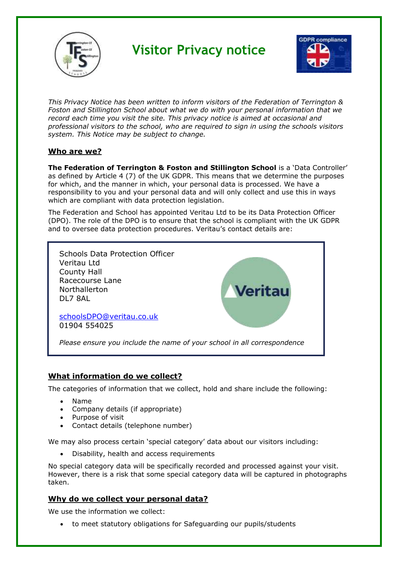

# **Visitor Privacy notice**



*This Privacy Notice has been written to inform visitors of the Federation of Terrington & Foston and Stillington School about what we do with your personal information that we record each time you visit the site. This privacy notice is aimed at occasional and professional visitors to the school, who are required to sign in using the schools visitors system. This Notice may be subject to change.*

# **Who are we?**

**The Federation of Terrington & Foston and Stillington School** is a 'Data Controller' as defined by Article 4 (7) of the UK GDPR. This means that we determine the purposes for which, and the manner in which, your personal data is processed. We have a responsibility to you and your personal data and will only collect and use this in ways which are compliant with data protection legislation.

The Federation and School has appointed Veritau Ltd to be its Data Protection Officer (DPO). The role of the DPO is to ensure that the school is compliant with the UK GDPR and to oversee data protection procedures. Veritau's contact details are:



## **What information do we collect?**

The categories of information that we collect, hold and share include the following:

- Name
- Company details (if appropriate)
- Purpose of visit
- Contact details (telephone number)

We may also process certain 'special category' data about our visitors including:

• Disability, health and access requirements

No special category data will be specifically recorded and processed against your visit. However, there is a risk that some special category data will be captured in photographs taken.

## **Why do we collect your personal data?**

We use the information we collect:

• to meet statutory obligations for Safeguarding our pupils/students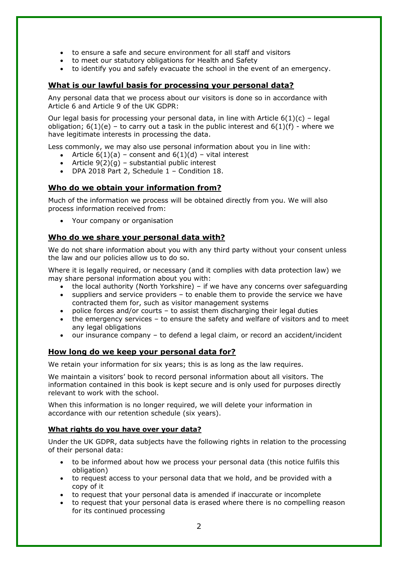- to ensure a safe and secure environment for all staff and visitors
- to meet our statutory obligations for Health and Safety
- to identify you and safely evacuate the school in the event of an emergency.

#### **What is our lawful basis for processing your personal data?**

Any personal data that we process about our visitors is done so in accordance with Article 6 and Article 9 of the UK GDPR:

Our legal basis for processing your personal data, in line with Article  $6(1)(c)$  – legal obligation;  $6(1)(e)$  – to carry out a task in the public interest and  $6(1)(f)$  - where we have legitimate interests in processing the data.

Less commonly, we may also use personal information about you in line with:

- Article  $6(1)(a)$  consent and  $6(1)(d)$  vital interest
- Article  $9(2)(q)$  substantial public interest
- DPA 2018 Part 2, Schedule 1 Condition 18.

# **Who do we obtain your information from?**

Much of the information we process will be obtained directly from you. We will also process information received from:

• Your company or organisation

## **Who do we share your personal data with?**

We do not share information about you with any third party without your consent unless the law and our policies allow us to do so.

Where it is legally required, or necessary (and it complies with data protection law) we may share personal information about you with:

- the local authority (North Yorkshire) if we have any concerns over safeguarding
- suppliers and service providers to enable them to provide the service we have contracted them for, such as visitor management systems
- police forces and/or courts to assist them discharging their legal duties
- the emergency services to ensure the safety and welfare of visitors and to meet any legal obligations
- our insurance company to defend a legal claim, or record an accident/incident

#### **How long do we keep your personal data for?**

We retain your information for six years; this is as long as the law requires.

We maintain a visitors' book to record personal information about all visitors. The information contained in this book is kept secure and is only used for purposes directly relevant to work with the school.

When this information is no longer required, we will delete your information in accordance with our retention schedule (six years).

#### **What rights do you have over your data?**

Under the UK GDPR, data subjects have the following rights in relation to the processing of their personal data:

- to be informed about how we process your personal data (this notice fulfils this obligation)
- to request access to your personal data that we hold, and be provided with a copy of it
- to request that your personal data is amended if inaccurate or incomplete
- to request that your personal data is erased where there is no compelling reason for its continued processing